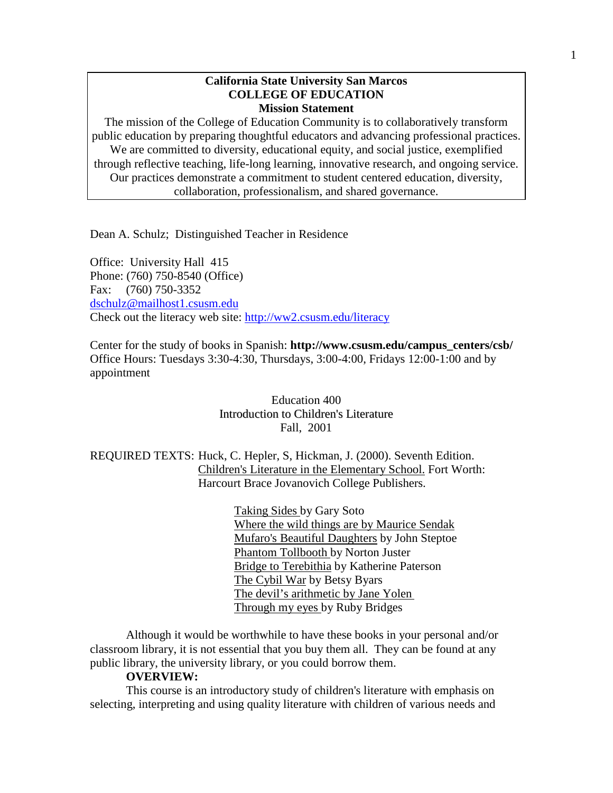## **California State University San Marcos COLLEGE OF EDUCATION Mission Statement**

The mission of the College of Education Community is to collaboratively transform public education by preparing thoughtful educators and advancing professional practices. We are committed to diversity, educational equity, and social justice, exemplified through reflective teaching, life-long learning, innovative research, and ongoing service. Our practices demonstrate a commitment to student centered education, diversity, collaboration, professionalism, and shared governance.

Dean A. Schulz; Distinguished Teacher in Residence

Office: University Hall 415 Phone: (760) 750-8540 (Office) Fax: (760) 750-3352 [dschulz@mailhost1.csusm.edu](mailto:dschulz@mailhost1.csusm.edu) Check out the literacy web site:<http://ww2.csusm.edu/literacy>

Center for the study of books in Spanish: **http://www.csusm.edu/campus\_centers/csb/**  Office Hours: Tuesdays 3:30-4:30, Thursdays, 3:00-4:00, Fridays 12:00-1:00 and by appointment

> Education 400 Introduction to Children's Literature Fall, 2001

REQUIRED TEXTS: Huck, C. Hepler, S, Hickman, J. (2000). Seventh Edition. Children's Literature in the Elementary School. Fort Worth: Harcourt Brace Jovanovich College Publishers.

> Taking Sides by Gary Soto Where the wild things are by Maurice Sendak Mufaro's Beautiful Daughters by John Steptoe Phantom Tollbooth by Norton Juster Bridge to Terebithia by Katherine Paterson The Cybil War by Betsy Byars The devil's arithmetic by Jane Yolen Through my eyes by Ruby Bridges

Although it would be worthwhile to have these books in your personal and/or classroom library, it is not essential that you buy them all. They can be found at any public library, the university library, or you could borrow them.

## **OVERVIEW:**

This course is an introductory study of children's literature with emphasis on selecting, interpreting and using quality literature with children of various needs and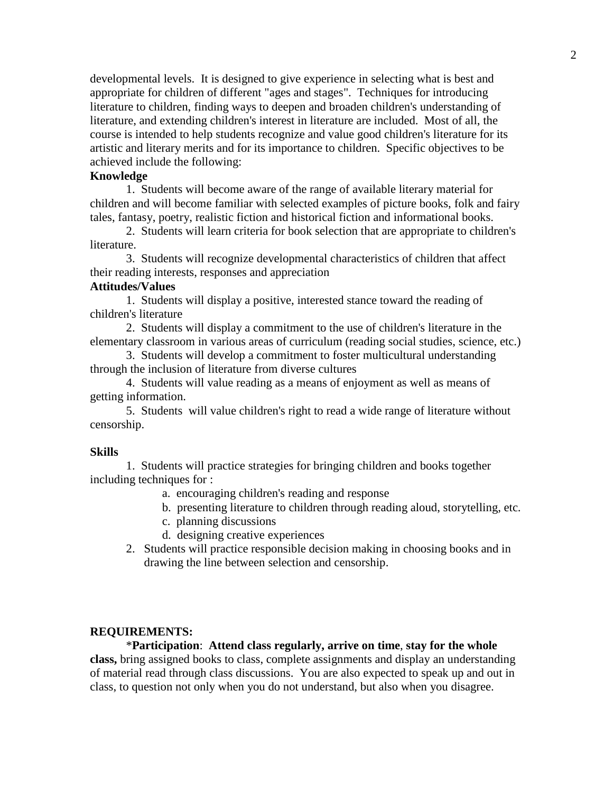developmental levels. It is designed to give experience in selecting what is best and appropriate for children of different "ages and stages". Techniques for introducing literature to children, finding ways to deepen and broaden children's understanding of literature, and extending children's interest in literature are included. Most of all, the course is intended to help students recognize and value good children's literature for its artistic and literary merits and for its importance to children. Specific objectives to be achieved include the following:

# **Knowledge**

1. Students will become aware of the range of available literary material for children and will become familiar with selected examples of picture books, folk and fairy tales, fantasy, poetry, realistic fiction and historical fiction and informational books.

2. Students will learn criteria for book selection that are appropriate to children's literature.

3. Students will recognize developmental characteristics of children that affect their reading interests, responses and appreciation

# **Attitudes/Values**

1. Students will display a positive, interested stance toward the reading of children's literature

2. Students will display a commitment to the use of children's literature in the elementary classroom in various areas of curriculum (reading social studies, science, etc.)

3. Students will develop a commitment to foster multicultural understanding through the inclusion of literature from diverse cultures

4. Students will value reading as a means of enjoyment as well as means of getting information.

5. Students will value children's right to read a wide range of literature without censorship.

#### **Skills**

1. Students will practice strategies for bringing children and books together including techniques for :

a. encouraging children's reading and response

- b. presenting literature to children through reading aloud, storytelling, etc.
- c. planning discussions
- d. designing creative experiences
- 2. Students will practice responsible decision making in choosing books and in drawing the line between selection and censorship.

#### **REQUIREMENTS:**

\***Participation**: **Attend class regularly, arrive on time**, **stay for the whole class,** bring assigned books to class, complete assignments and display an understanding of material read through class discussions. You are also expected to speak up and out in class, to question not only when you do not understand, but also when you disagree.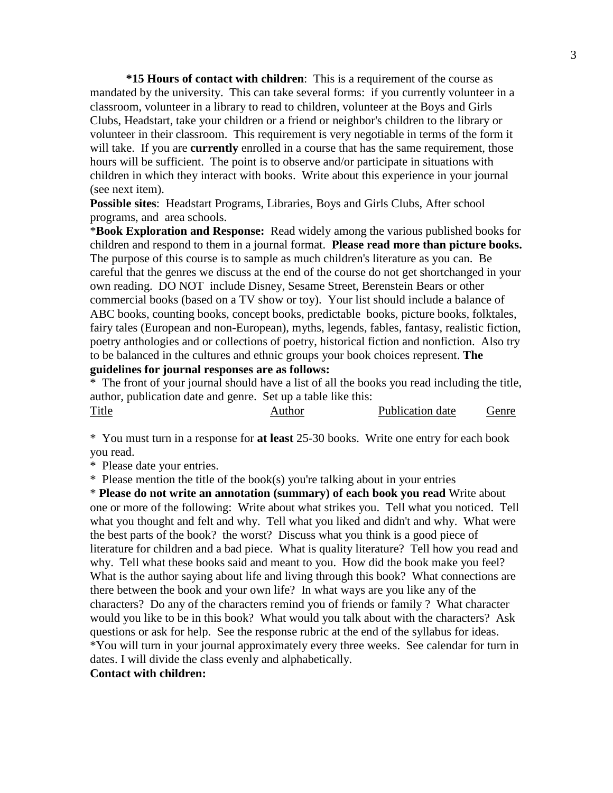**\*15 Hours of contact with children**: This is a requirement of the course as mandated by the university. This can take several forms: if you currently volunteer in a classroom, volunteer in a library to read to children, volunteer at the Boys and Girls Clubs, Headstart, take your children or a friend or neighbor's children to the library or volunteer in their classroom. This requirement is very negotiable in terms of the form it will take. If you are **currently** enrolled in a course that has the same requirement, those hours will be sufficient. The point is to observe and/or participate in situations with children in which they interact with books. Write about this experience in your journal (see next item).

**Possible sites**: Headstart Programs, Libraries, Boys and Girls Clubs, After school programs, and area schools.

\***Book Exploration and Response:** Read widely among the various published books for children and respond to them in a journal format. **Please read more than picture books.** The purpose of this course is to sample as much children's literature as you can. Be careful that the genres we discuss at the end of the course do not get shortchanged in your own reading. DO NOT include Disney, Sesame Street, Berenstein Bears or other commercial books (based on a TV show or toy). Your list should include a balance of ABC books, counting books, concept books, predictable books, picture books, folktales, fairy tales (European and non-European), myths, legends, fables, fantasy, realistic fiction, poetry anthologies and or collections of poetry, historical fiction and nonfiction. Also try to be balanced in the cultures and ethnic groups your book choices represent. **The guidelines for journal responses are as follows:**

\* The front of your journal should have a list of all the books you read including the title, author, publication date and genre. Set up a table like this:

| Title | Author | Publication date | Genre |
|-------|--------|------------------|-------|
|-------|--------|------------------|-------|

\* You must turn in a response for **at least** 25-30 books. Write one entry for each book you read.

\* Please date your entries.

\* Please mention the title of the book(s) you're talking about in your entries

\* **Please do not write an annotation (summary) of each book you read** Write about one or more of the following: Write about what strikes you. Tell what you noticed. Tell what you thought and felt and why. Tell what you liked and didn't and why. What were the best parts of the book? the worst? Discuss what you think is a good piece of literature for children and a bad piece. What is quality literature? Tell how you read and why. Tell what these books said and meant to you. How did the book make you feel? What is the author saying about life and living through this book? What connections are there between the book and your own life? In what ways are you like any of the characters? Do any of the characters remind you of friends or family ? What character would you like to be in this book? What would you talk about with the characters? Ask questions or ask for help. See the response rubric at the end of the syllabus for ideas. \*You will turn in your journal approximately every three weeks. See calendar for turn in dates. I will divide the class evenly and alphabetically.

### **Contact with children:**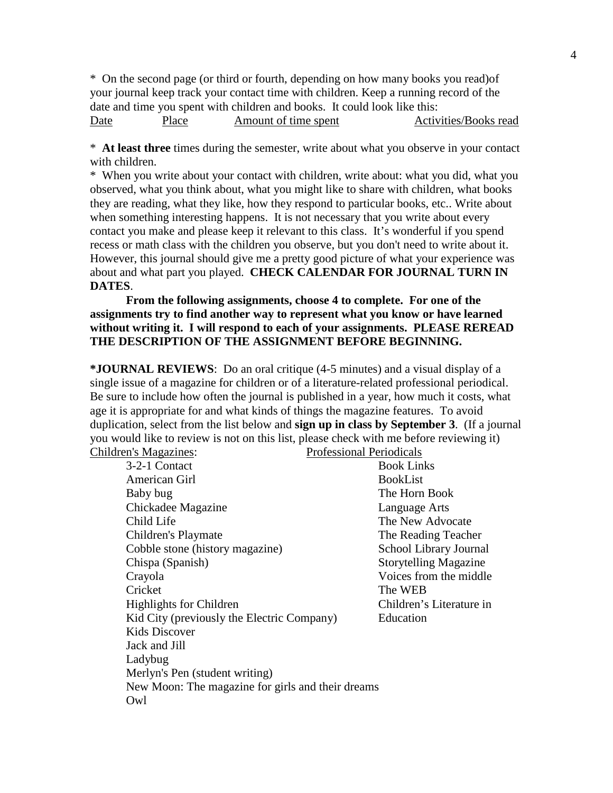\* On the second page (or third or fourth, depending on how many books you read)of your journal keep track your contact time with children. Keep a running record of the date and time you spent with children and books. It could look like this:

Date Place Amount of time spent Activities/Books read

\* **At least three** times during the semester, write about what you observe in your contact with children.

\* When you write about your contact with children, write about: what you did, what you observed, what you think about, what you might like to share with children, what books they are reading, what they like, how they respond to particular books, etc.. Write about when something interesting happens. It is not necessary that you write about every contact you make and please keep it relevant to this class. It's wonderful if you spend recess or math class with the children you observe, but you don't need to write about it. However, this journal should give me a pretty good picture of what your experience was about and what part you played. **CHECK CALENDAR FOR JOURNAL TURN IN DATES**.

**From the following assignments, choose 4 to complete. For one of the assignments try to find another way to represent what you know or have learned without writing it. I will respond to each of your assignments. PLEASE REREAD THE DESCRIPTION OF THE ASSIGNMENT BEFORE BEGINNING.**

**\*JOURNAL REVIEWS**: Do an oral critique (4-5 minutes) and a visual display of a single issue of a magazine for children or of a literature-related professional periodical. Be sure to include how often the journal is published in a year, how much it costs, what age it is appropriate for and what kinds of things the magazine features. To avoid duplication, select from the list below and **sign up in class by September 3**. (If a journal you would like to review is not on this list, please check with me before reviewing it) Children's Magazines: Professional Periodicals

3-2-1 Contact Book Links American Girl BookList Baby bug The Horn Book Chickadee Magazine Language Arts Child Life The New Advocate Children's Playmate The Reading Teacher Cobble stone (history magazine) School Library Journal Chispa (Spanish) Storytelling Magazine Crayola Voices from the middle Cricket The WEB Highlights for Children Children Children's Literature in Kid City (previously the Electric Company) Education Kids Discover Jack and Jill Ladybug Merlyn's Pen (student writing) New Moon: The magazine for girls and their dreams Owl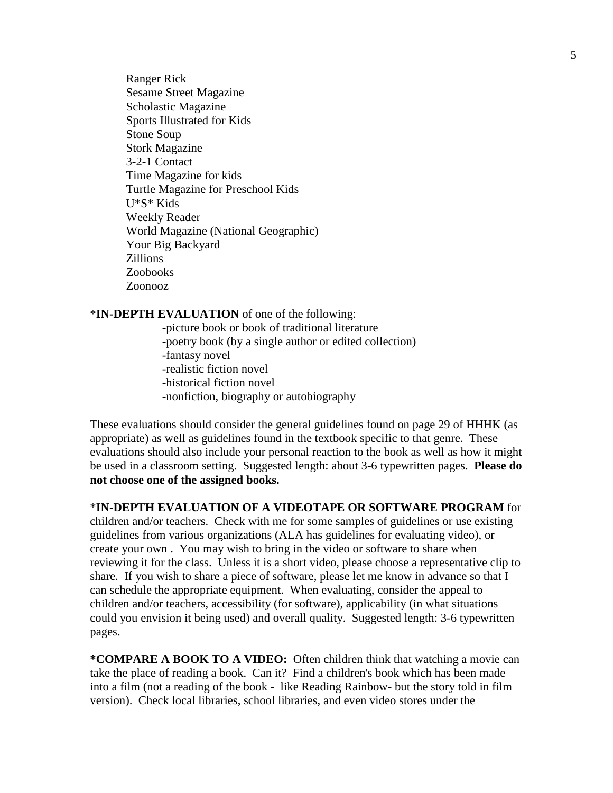Ranger Rick Sesame Street Magazine Scholastic Magazine Sports Illustrated for Kids Stone Soup Stork Magazine 3-2-1 Contact Time Magazine for kids Turtle Magazine for Preschool Kids U\*S\* Kids Weekly Reader World Magazine (National Geographic) Your Big Backyard Zillions Zoobooks Zoonooz

#### \***IN-DEPTH EVALUATION** of one of the following:

-picture book or book of traditional literature -poetry book (by a single author or edited collection) -fantasy novel -realistic fiction novel -historical fiction novel -nonfiction, biography or autobiography

These evaluations should consider the general guidelines found on page 29 of HHHK (as appropriate) as well as guidelines found in the textbook specific to that genre. These evaluations should also include your personal reaction to the book as well as how it might be used in a classroom setting. Suggested length: about 3-6 typewritten pages. **Please do not choose one of the assigned books.**

# \***IN-DEPTH EVALUATION OF A VIDEOTAPE OR SOFTWARE PROGRAM** for

children and/or teachers. Check with me for some samples of guidelines or use existing guidelines from various organizations (ALA has guidelines for evaluating video), or create your own . You may wish to bring in the video or software to share when reviewing it for the class. Unless it is a short video, please choose a representative clip to share. If you wish to share a piece of software, please let me know in advance so that I can schedule the appropriate equipment. When evaluating, consider the appeal to children and/or teachers, accessibility (for software), applicability (in what situations could you envision it being used) and overall quality. Suggested length: 3-6 typewritten pages.

**\*COMPARE A BOOK TO A VIDEO:** Often children think that watching a movie can take the place of reading a book. Can it? Find a children's book which has been made into a film (not a reading of the book - like Reading Rainbow- but the story told in film version). Check local libraries, school libraries, and even video stores under the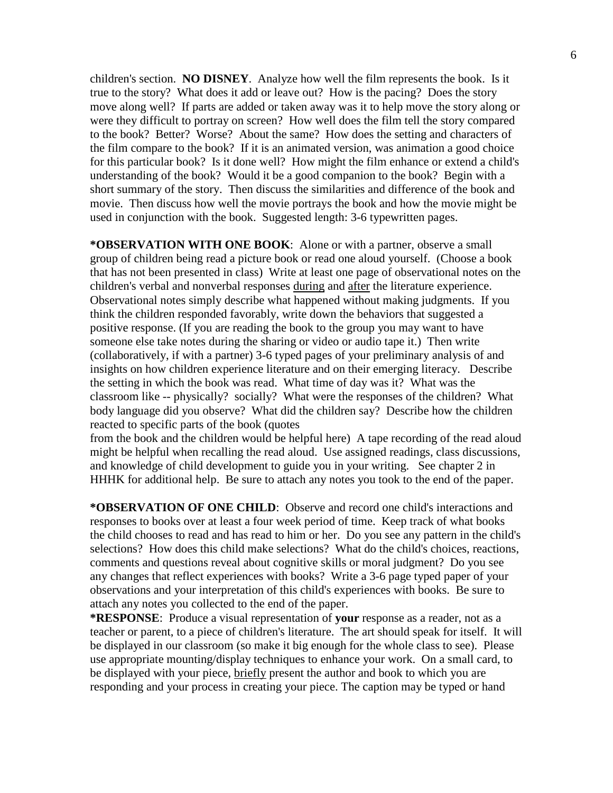children's section. **NO DISNEY**. Analyze how well the film represents the book. Is it true to the story? What does it add or leave out? How is the pacing? Does the story move along well? If parts are added or taken away was it to help move the story along or were they difficult to portray on screen? How well does the film tell the story compared to the book? Better? Worse? About the same? How does the setting and characters of the film compare to the book? If it is an animated version, was animation a good choice for this particular book? Is it done well? How might the film enhance or extend a child's understanding of the book? Would it be a good companion to the book? Begin with a short summary of the story. Then discuss the similarities and difference of the book and movie. Then discuss how well the movie portrays the book and how the movie might be used in conjunction with the book. Suggested length: 3-6 typewritten pages.

**\*OBSERVATION WITH ONE BOOK**: Alone or with a partner, observe a small group of children being read a picture book or read one aloud yourself. (Choose a book that has not been presented in class) Write at least one page of observational notes on the children's verbal and nonverbal responses during and after the literature experience. Observational notes simply describe what happened without making judgments. If you think the children responded favorably, write down the behaviors that suggested a positive response. (If you are reading the book to the group you may want to have someone else take notes during the sharing or video or audio tape it.) Then write (collaboratively, if with a partner) 3-6 typed pages of your preliminary analysis of and insights on how children experience literature and on their emerging literacy. Describe the setting in which the book was read. What time of day was it? What was the classroom like -- physically? socially? What were the responses of the children? What body language did you observe? What did the children say? Describe how the children reacted to specific parts of the book (quotes

from the book and the children would be helpful here) A tape recording of the read aloud might be helpful when recalling the read aloud. Use assigned readings, class discussions, and knowledge of child development to guide you in your writing. See chapter 2 in HHHK for additional help. Be sure to attach any notes you took to the end of the paper.

**\*OBSERVATION OF ONE CHILD**: Observe and record one child's interactions and responses to books over at least a four week period of time. Keep track of what books the child chooses to read and has read to him or her. Do you see any pattern in the child's selections? How does this child make selections? What do the child's choices, reactions, comments and questions reveal about cognitive skills or moral judgment? Do you see any changes that reflect experiences with books? Write a 3-6 page typed paper of your observations and your interpretation of this child's experiences with books. Be sure to attach any notes you collected to the end of the paper.

**\*RESPONSE**: Produce a visual representation of **your** response as a reader, not as a teacher or parent, to a piece of children's literature. The art should speak for itself. It will be displayed in our classroom (so make it big enough for the whole class to see). Please use appropriate mounting/display techniques to enhance your work. On a small card, to be displayed with your piece, briefly present the author and book to which you are responding and your process in creating your piece. The caption may be typed or hand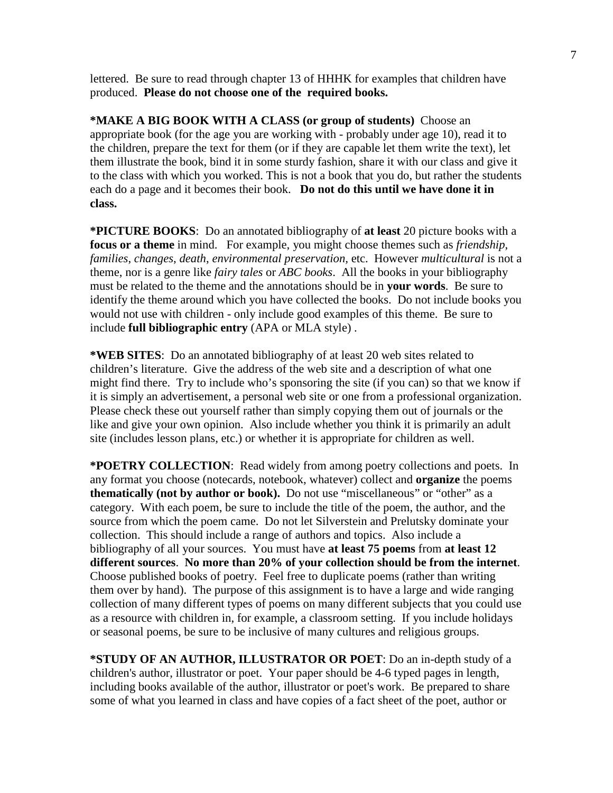lettered. Be sure to read through chapter 13 of HHHK for examples that children have produced. **Please do not choose one of the required books.**

**\*MAKE A BIG BOOK WITH A CLASS (or group of students)** Choose an appropriate book (for the age you are working with - probably under age 10), read it to the children, prepare the text for them (or if they are capable let them write the text), let them illustrate the book, bind it in some sturdy fashion, share it with our class and give it to the class with which you worked. This is not a book that you do, but rather the students each do a page and it becomes their book. **Do not do this until we have done it in class.**

**\*PICTURE BOOKS**: Do an annotated bibliography of **at least** 20 picture books with a **focus or a theme** in mind. For example, you might choose themes such as *friendship*, *families*, *changes*, *death*, *environmental preservation,* etc. However *multicultural* is not a theme, nor is a genre like *fairy tales* or *ABC books*. All the books in your bibliography must be related to the theme and the annotations should be in **your words**. Be sure to identify the theme around which you have collected the books. Do not include books you would not use with children - only include good examples of this theme. Be sure to include **full bibliographic entry** (APA or MLA style) .

**\*WEB SITES**: Do an annotated bibliography of at least 20 web sites related to children's literature. Give the address of the web site and a description of what one might find there. Try to include who's sponsoring the site (if you can) so that we know if it is simply an advertisement, a personal web site or one from a professional organization. Please check these out yourself rather than simply copying them out of journals or the like and give your own opinion. Also include whether you think it is primarily an adult site (includes lesson plans, etc.) or whether it is appropriate for children as well.

**\*POETRY COLLECTION**: Read widely from among poetry collections and poets. In any format you choose (notecards, notebook, whatever) collect and **organize** the poems **thematically (not by author or book).** Do not use "miscellaneous" or "other" as a category. With each poem, be sure to include the title of the poem, the author, and the source from which the poem came. Do not let Silverstein and Prelutsky dominate your collection. This should include a range of authors and topics. Also include a bibliography of all your sources. You must have **at least 75 poems** from **at least 12 different sources**. **No more than 20% of your collection should be from the internet**. Choose published books of poetry. Feel free to duplicate poems (rather than writing them over by hand). The purpose of this assignment is to have a large and wide ranging collection of many different types of poems on many different subjects that you could use as a resource with children in, for example, a classroom setting. If you include holidays or seasonal poems, be sure to be inclusive of many cultures and religious groups.

**\*STUDY OF AN AUTHOR, ILLUSTRATOR OR POET**: Do an in-depth study of a children's author, illustrator or poet. Your paper should be 4-6 typed pages in length, including books available of the author, illustrator or poet's work. Be prepared to share some of what you learned in class and have copies of a fact sheet of the poet, author or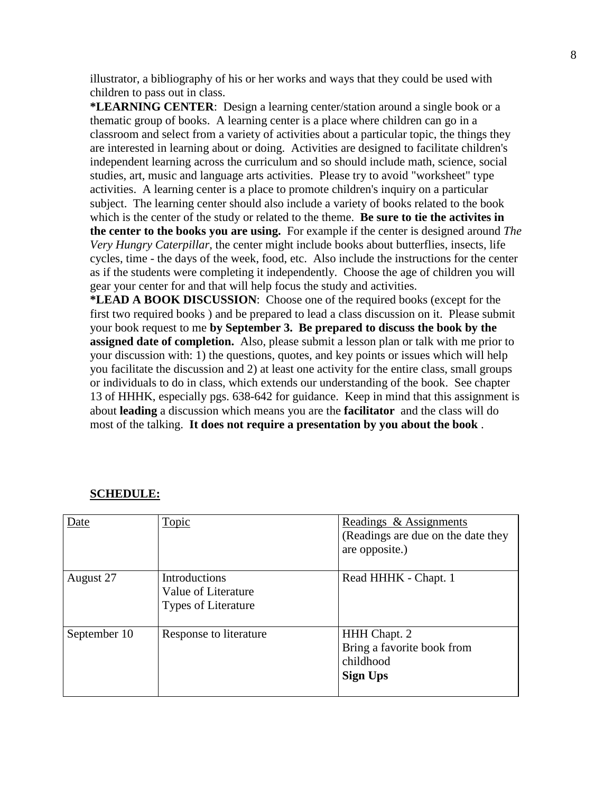illustrator, a bibliography of his or her works and ways that they could be used with children to pass out in class.

**\*LEARNING CENTER**: Design a learning center/station around a single book or a thematic group of books. A learning center is a place where children can go in a classroom and select from a variety of activities about a particular topic, the things they are interested in learning about or doing. Activities are designed to facilitate children's independent learning across the curriculum and so should include math, science, social studies, art, music and language arts activities. Please try to avoid "worksheet" type activities. A learning center is a place to promote children's inquiry on a particular subject. The learning center should also include a variety of books related to the book which is the center of the study or related to the theme. **Be sure to tie the activites in the center to the books you are using.** For example if the center is designed around *The Very Hungry Caterpillar*, the center might include books about butterflies, insects, life cycles, time - the days of the week, food, etc. Also include the instructions for the center as if the students were completing it independently. Choose the age of children you will gear your center for and that will help focus the study and activities.

**\*LEAD A BOOK DISCUSSION**: Choose one of the required books (except for the first two required books ) and be prepared to lead a class discussion on it. Please submit your book request to me **by September 3. Be prepared to discuss the book by the assigned date of completion.** Also, please submit a lesson plan or talk with me prior to your discussion with: 1) the questions, quotes, and key points or issues which will help you facilitate the discussion and 2) at least one activity for the entire class, small groups or individuals to do in class, which extends our understanding of the book. See chapter 13 of HHHK, especially pgs. 638-642 for guidance. Keep in mind that this assignment is about **leading** a discussion which means you are the **facilitator** and the class will do most of the talking. **It does not require a presentation by you about the book** .

| Date         | Topic                                                                     | Readings & Assignments<br>(Readings are due on the date they<br>are opposite.) |
|--------------|---------------------------------------------------------------------------|--------------------------------------------------------------------------------|
| August 27    | <b>Introductions</b><br>Value of Literature<br><b>Types of Literature</b> | Read HHHK - Chapt. 1                                                           |
| September 10 | Response to literature                                                    | HHH Chapt. 2<br>Bring a favorite book from<br>childhood<br><b>Sign Ups</b>     |

### **SCHEDULE:**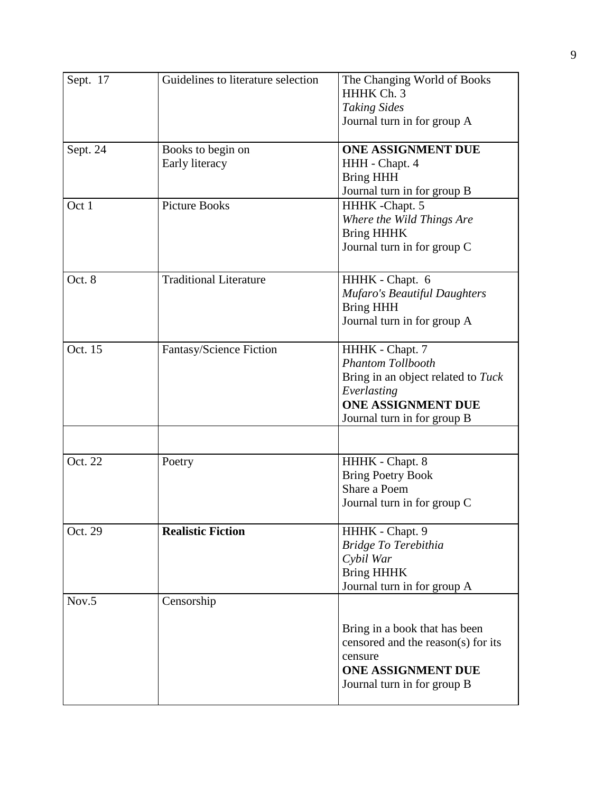| Sept. 17 | Guidelines to literature selection  | The Changing World of Books<br>HHHK Ch. 3<br><b>Taking Sides</b><br>Journal turn in for group A                                                       |
|----------|-------------------------------------|-------------------------------------------------------------------------------------------------------------------------------------------------------|
| Sept. 24 | Books to begin on<br>Early literacy | <b>ONE ASSIGNMENT DUE</b><br>HHH - Chapt. 4<br><b>Bring HHH</b><br>Journal turn in for group B                                                        |
| Oct 1    | <b>Picture Books</b>                | HHHK -Chapt. 5<br>Where the Wild Things Are<br><b>Bring HHHK</b><br>Journal turn in for group C                                                       |
| Oct. 8   | <b>Traditional Literature</b>       | HHHK - Chapt. 6<br><b>Mufaro's Beautiful Daughters</b><br><b>Bring HHH</b><br>Journal turn in for group A                                             |
| Oct. 15  | Fantasy/Science Fiction             | HHHK - Chapt. 7<br><b>Phantom Tollbooth</b><br>Bring in an object related to Tuck<br>Everlasting<br>ONE ASSIGNMENT DUE<br>Journal turn in for group B |
| Oct. 22  | Poetry                              | HHHK - Chapt. 8<br><b>Bring Poetry Book</b><br>Share a Poem<br>Journal turn in for group C                                                            |
| Oct. 29  | <b>Realistic Fiction</b>            | HHHK - Chapt. 9<br>Bridge To Terebithia<br>Cybil War<br><b>Bring HHHK</b><br>Journal turn in for group A                                              |
| Nov.5    | Censorship                          | Bring in a book that has been<br>censored and the reason(s) for its<br>censure<br><b>ONE ASSIGNMENT DUE</b><br>Journal turn in for group B            |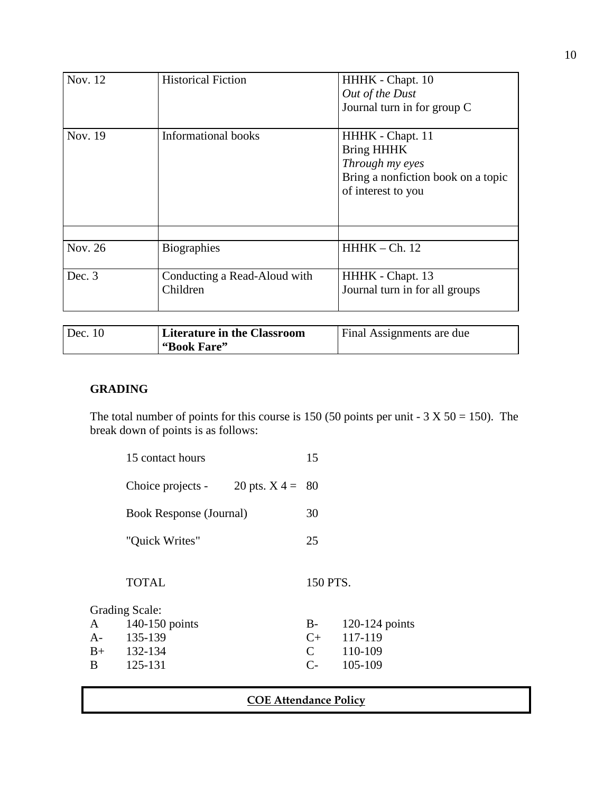| Nov. 12 | <b>Historical Fiction</b>                | HHHK - Chapt. 10<br>Out of the Dust<br>Journal turn in for group C                                                   |
|---------|------------------------------------------|----------------------------------------------------------------------------------------------------------------------|
| Nov. 19 | Informational books                      | HHHK - Chapt. 11<br><b>Bring HHHK</b><br>Through my eyes<br>Bring a nonfiction book on a topic<br>of interest to you |
|         |                                          |                                                                                                                      |
| Nov. 26 | <b>Biographies</b>                       | $HHHK - Ch.$ 12                                                                                                      |
| Dec. 3  | Conducting a Read-Aloud with<br>Children | HHHK - Chapt. 13<br>Journal turn in for all groups                                                                   |

| $\vert$ Dec. 10 | <b>Literature in the Classroom</b> | Final Assignments are due |
|-----------------|------------------------------------|---------------------------|
|                 | "Book Fare"                        |                           |

# **GRADING**

The total number of points for this course is 150 (50 points per unit -  $3 \text{ X } 50 = 150$ ). The break down of points is as follows:

|              | 15 contact hours        |                  | 15                   |                  |  |
|--------------|-------------------------|------------------|----------------------|------------------|--|
|              | Choice projects -       | 20 pts. $X = 80$ |                      |                  |  |
|              | Book Response (Journal) |                  | 30                   |                  |  |
|              | "Quick Writes"          |                  | 25                   |                  |  |
|              | <b>TOTAL</b>            |                  | 150 PTS.             |                  |  |
|              | <b>Grading Scale:</b>   |                  |                      |                  |  |
| $\mathbf{A}$ | 140-150 points          |                  | $B-$                 | $120-124$ points |  |
| $A-$         | 135-139                 |                  | $C_{+}$              | 117-119          |  |
| $B+$         | 132-134                 |                  | $\mathbf{C}$         | 110-109          |  |
| B            | 125-131                 |                  | $\mathsf{C}\text{-}$ | 105-109          |  |
|              |                         |                  |                      |                  |  |

**COE Attendance Policy**